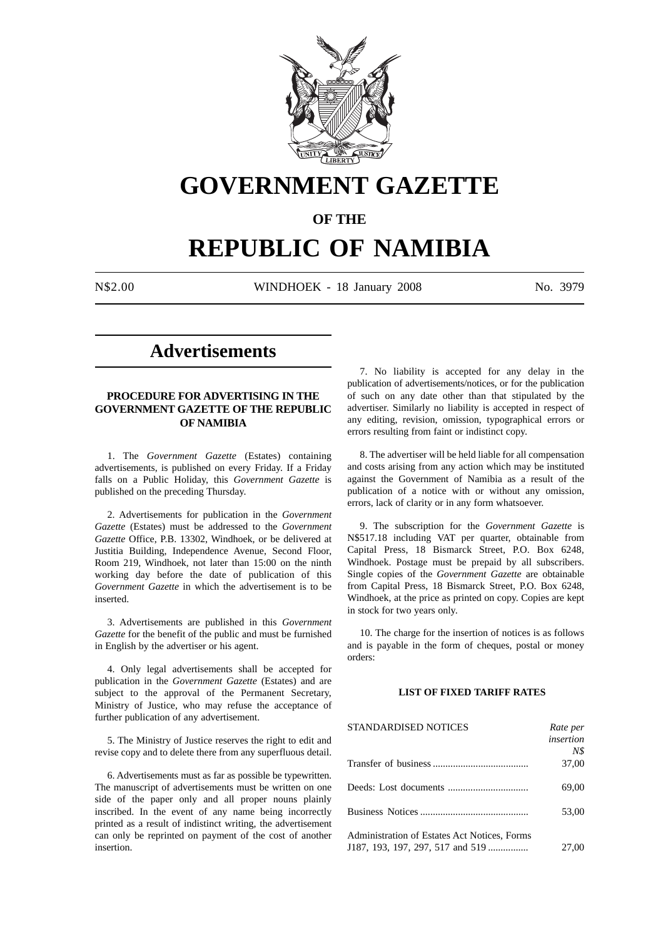

# **GOVERNMENT GAZETTE**

## **OF THE**

## **REPUBLIC OF NAMIBIA**

N\$2.00 WINDHOEK - 18 January 2008 No. 3979

## **Advertisements**

## **PROCEDURE FOR ADVERTISING IN THE GOVERNMENT GAZETTE OF THE REPUBLIC OF NAMIBIA**

1. The *Government Gazette* (Estates) containing advertisements, is published on every Friday. If a Friday falls on a Public Holiday, this *Government Gazette* is published on the preceding Thursday.

2. Advertisements for publication in the *Government Gazette* (Estates) must be addressed to the *Government Gazette* Office, P.B. 13302, Windhoek, or be delivered at Justitia Building, Independence Avenue, Second Floor, Room 219, Windhoek, not later than 15:00 on the ninth working day before the date of publication of this *Government Gazette* in which the advertisement is to be inserted.

3. Advertisements are published in this *Government Gazette* for the benefit of the public and must be furnished in English by the advertiser or his agent.

4. Only legal advertisements shall be accepted for publication in the *Government Gazette* (Estates) and are subject to the approval of the Permanent Secretary, Ministry of Justice, who may refuse the acceptance of further publication of any advertisement.

5. The Ministry of Justice reserves the right to edit and revise copy and to delete there from any superfluous detail.

6. Advertisements must as far as possible be typewritten. The manuscript of advertisements must be written on one side of the paper only and all proper nouns plainly inscribed. In the event of any name being incorrectly printed as a result of indistinct writing, the advertisement can only be reprinted on payment of the cost of another insertion.

7. No liability is accepted for any delay in the publication of advertisements/notices, or for the publication of such on any date other than that stipulated by the advertiser. Similarly no liability is accepted in respect of any editing, revision, omission, typographical errors or errors resulting from faint or indistinct copy.

8. The advertiser will be held liable for all compensation and costs arising from any action which may be instituted against the Government of Namibia as a result of the publication of a notice with or without any omission, errors, lack of clarity or in any form whatsoever.

9. The subscription for the *Government Gazette* is N\$517.18 including VAT per quarter, obtainable from Capital Press, 18 Bismarck Street, P.O. Box 6248, Windhoek. Postage must be prepaid by all subscribers. Single copies of the *Government Gazette* are obtainable from Capital Press, 18 Bismarck Street, P.O. Box 6248, Windhoek, at the price as printed on copy. Copies are kept in stock for two years only.

10. The charge for the insertion of notices is as follows and is payable in the form of cheques, postal or money orders:

## **LIST OF FIXED TARIFF RATES**

| <b>STANDARDISED NOTICES</b>                  | Rate per  |
|----------------------------------------------|-----------|
|                                              | insertion |
|                                              | N\$       |
|                                              | 37,00     |
|                                              | 69,00     |
|                                              | 53,00     |
| Administration of Estates Act Notices, Forms |           |
| J187, 193, 197, 297, 517 and 519             | 27,00     |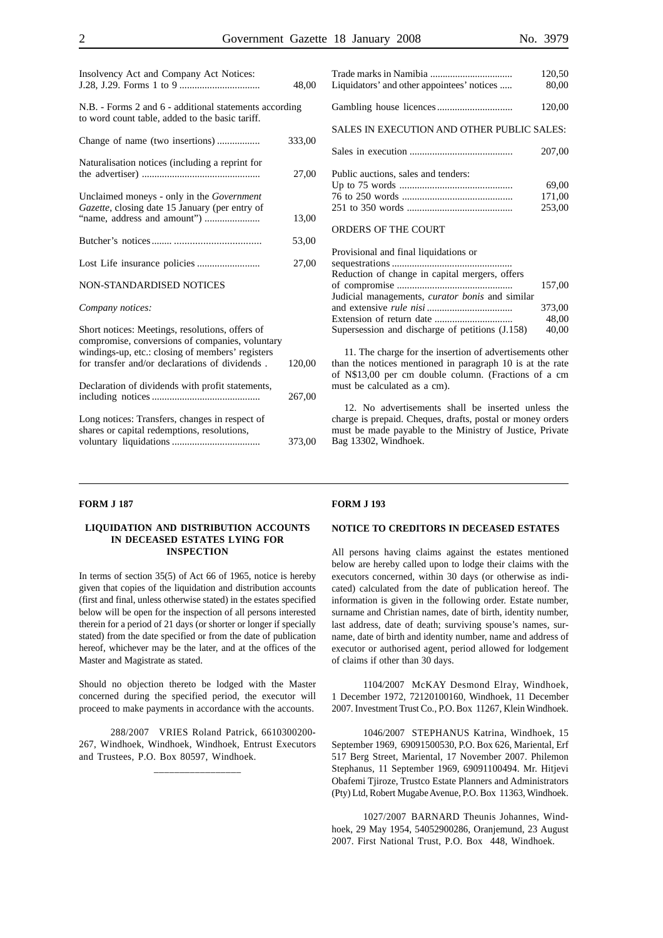|                                                                                                                                                                                                          | 48,00  |
|----------------------------------------------------------------------------------------------------------------------------------------------------------------------------------------------------------|--------|
| N.B. - Forms 2 and 6 - additional statements according<br>to word count table, added to the basic tariff.                                                                                                |        |
|                                                                                                                                                                                                          | 333,00 |
| Naturalisation notices (including a reprint for                                                                                                                                                          | 27,00  |
| Unclaimed moneys - only in the Government<br>Gazette, closing date 15 January (per entry of<br>"name, address and amount")                                                                               | 13,00  |
|                                                                                                                                                                                                          | 53,00  |
|                                                                                                                                                                                                          | 27,00  |
| <b>NON-STANDARDISED NOTICES</b>                                                                                                                                                                          |        |
| Company notices:                                                                                                                                                                                         |        |
| Short notices: Meetings, resolutions, offers of<br>compromise, conversions of companies, voluntary<br>windings-up, etc.: closing of members' registers<br>for transfer and/or declarations of dividends. | 120,00 |
| Declaration of dividends with profit statements,                                                                                                                                                         | 267,00 |
| Long notices: Transfers, changes in respect of<br>shares or capital redemptions, resolutions,                                                                                                            | 373,00 |

Insolvency Act and Company Act Notices:

| Liquidators' and other appointees' notices | 120,50<br>80,00 |
|--------------------------------------------|-----------------|
|                                            | 120,00          |
| SALES IN EXECUTION AND OTHER PUBLIC SALES: |                 |
|                                            | 207.00          |
|                                            |                 |

| Public auctions, sales and tenders: |        |
|-------------------------------------|--------|
|                                     | 69.00  |
|                                     | 171.00 |
|                                     | 253.00 |

#### ORDERS OF THE COURT

| Provisional and final liquidations or                  |        |
|--------------------------------------------------------|--------|
|                                                        |        |
| Reduction of change in capital mergers, offers         |        |
|                                                        | 157.00 |
| Judicial managements, <i>curator bonis</i> and similar |        |
|                                                        | 373.00 |
|                                                        | 48.00  |
| Supersession and discharge of petitions (J.158)        | 40,00  |

11. The charge for the insertion of advertisements other than the notices mentioned in paragraph 10 is at the rate of N\$13,00 per cm double column. (Fractions of a cm must be calculated as a cm).

12. No advertisements shall be inserted unless the charge is prepaid. Cheques, drafts, postal or money orders must be made payable to the Ministry of Justice, Private Bag 13302, Windhoek.

#### **FORM J 187**

#### **LIQUIDATION AND DISTRIBUTION ACCOUNTS IN DECEASED ESTATES LYING FOR INSPECTION**

In terms of section 35(5) of Act 66 of 1965, notice is hereby given that copies of the liquidation and distribution accounts (first and final, unless otherwise stated) in the estates specified below will be open for the inspection of all persons interested therein for a period of 21 days (or shorter or longer if specially stated) from the date specified or from the date of publication hereof, whichever may be the later, and at the offices of the Master and Magistrate as stated.

Should no objection thereto be lodged with the Master concerned during the specified period, the executor will proceed to make payments in accordance with the accounts.

288/2007 VRIES Roland Patrick, 6610300200- 267, Windhoek, Windhoek, Windhoek, Entrust Executors and Trustees, P.O. Box 80597, Windhoek.

\_\_\_\_\_\_\_\_\_\_\_\_\_\_\_\_\_

#### **FORM J 193**

#### **NOTICE TO CREDITORS IN DECEASED ESTATES**

All persons having claims against the estates mentioned below are hereby called upon to lodge their claims with the executors concerned, within 30 days (or otherwise as indicated) calculated from the date of publication hereof. The information is given in the following order. Estate number, surname and Christian names, date of birth, identity number, last address, date of death; surviving spouse's names, surname, date of birth and identity number, name and address of executor or authorised agent, period allowed for lodgement of claims if other than 30 days.

1104/2007 McKAY Desmond Elray, Windhoek, 1 December 1972, 72120100160, Windhoek, 11 December 2007. Investment Trust Co., P.O. Box 11267, Klein Windhoek.

1046/2007 STEPHANUS Katrina, Windhoek, 15 September 1969, 69091500530, P.O. Box 626, Mariental, Erf 517 Berg Street, Mariental, 17 November 2007. Philemon Stephanus, 11 September 1969, 69091100494. Mr. Hitjevi Obafemi Tjiroze, Trustco Estate Planners and Administrators (Pty) Ltd, Robert Mugabe Avenue, P.O. Box 11363, Windhoek.

1027/2007 BARNARD Theunis Johannes, Windhoek, 29 May 1954, 54052900286, Oranjemund, 23 August 2007. First National Trust, P.O. Box 448, Windhoek.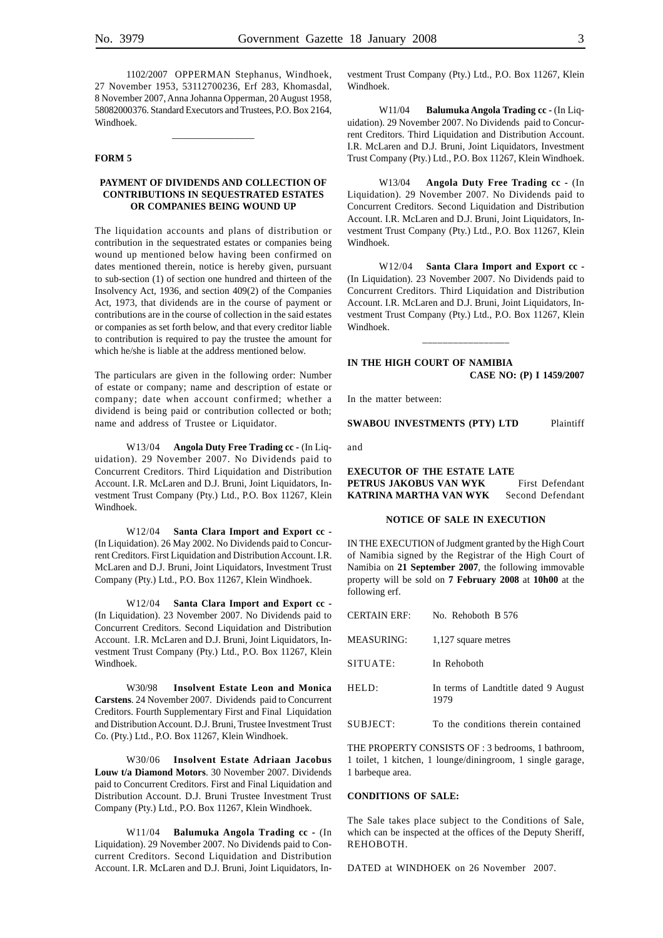1102/2007 OPPERMAN Stephanus, Windhoek, 27 November 1953, 53112700236, Erf 283, Khomasdal, 8 November 2007, Anna Johanna Opperman, 20 August 1958, 58082000376. Standard Executors and Trustees, P.O. Box 2164, Windhoek.

\_\_\_\_\_\_\_\_\_\_\_\_\_\_\_\_\_

#### **FORM 5**

## **PAYMENT OF DIVIDENDS AND COLLECTION OF CONTRIBUTIONS IN SEQUESTRATED ESTATES OR COMPANIES BEING WOUND UP**

The liquidation accounts and plans of distribution or contribution in the sequestrated estates or companies being wound up mentioned below having been confirmed on dates mentioned therein, notice is hereby given, pursuant to sub-section (1) of section one hundred and thirteen of the Insolvency Act, 1936, and section 409(2) of the Companies Act, 1973, that dividends are in the course of payment or contributions are in the course of collection in the said estates or companies as set forth below, and that every creditor liable to contribution is required to pay the trustee the amount for which he/she is liable at the address mentioned below.

The particulars are given in the following order: Number of estate or company; name and description of estate or company; date when account confirmed; whether a dividend is being paid or contribution collected or both; name and address of Trustee or Liquidator.

W13/04 **Angola Duty Free Trading cc -** (In Liquidation). 29 November 2007. No Dividends paid to Concurrent Creditors. Third Liquidation and Distribution Account. I.R. McLaren and D.J. Bruni, Joint Liquidators, Investment Trust Company (Pty.) Ltd., P.O. Box 11267, Klein Windhoek.

W12/04 **Santa Clara Import and Export cc -** (In Liquidation). 26 May 2002. No Dividends paid to Concurrent Creditors. First Liquidation and Distribution Account. I.R. McLaren and D.J. Bruni, Joint Liquidators, Investment Trust Company (Pty.) Ltd., P.O. Box 11267, Klein Windhoek.

W12/04 **Santa Clara Import and Export cc -** (In Liquidation). 23 November 2007. No Dividends paid to Concurrent Creditors. Second Liquidation and Distribution Account. I.R. McLaren and D.J. Bruni, Joint Liquidators, Investment Trust Company (Pty.) Ltd., P.O. Box 11267, Klein Windhoek.

W30/98 **Insolvent Estate Leon and Monica Carstens**. 24 November 2007. Dividends paid to Concurrent Creditors. Fourth Supplementary First and Final Liquidation and Distribution Account. D.J. Bruni, Trustee Investment Trust Co. (Pty.) Ltd., P.O. Box 11267, Klein Windhoek.

W30/06 **Insolvent Estate Adriaan Jacobus Louw t/a Diamond Motors**. 30 November 2007. Dividends paid to Concurrent Creditors. First and Final Liquidation and Distribution Account. D.J. Bruni Trustee Investment Trust Company (Pty.) Ltd., P.O. Box 11267, Klein Windhoek.

W11/04 **Balumuka Angola Trading cc -** (In Liquidation). 29 November 2007. No Dividends paid to Concurrent Creditors. Second Liquidation and Distribution Account. I.R. McLaren and D.J. Bruni, Joint Liquidators, Investment Trust Company (Pty.) Ltd., P.O. Box 11267, Klein Windhoek.

W11/04 **Balumuka Angola Trading cc - (In Liq**uidation). 29 November 2007. No Dividends paid to Concurrent Creditors. Third Liquidation and Distribution Account. I.R. McLaren and D.J. Bruni, Joint Liquidators, Investment Trust Company (Pty.) Ltd., P.O. Box 11267, Klein Windhoek.

W13/04 **Angola Duty Free Trading cc** - (In Liquidation). 29 November 2007. No Dividends paid to Concurrent Creditors. Second Liquidation and Distribution Account. I.R. McLaren and D.J. Bruni, Joint Liquidators, Investment Trust Company (Pty.) Ltd., P.O. Box 11267, Klein Windhoek.

W12/04 **Santa Clara Import and Export cc -** (In Liquidation). 23 November 2007. No Dividends paid to Concurrent Creditors. Third Liquidation and Distribution Account. I.R. McLaren and D.J. Bruni, Joint Liquidators, Investment Trust Company (Pty.) Ltd., P.O. Box 11267, Klein Windhoek.

## **IN THE HIGH COURT OF NAMIBIA CASE NO: (P) I 1459/2007**

\_\_\_\_\_\_\_\_\_\_\_\_\_\_\_\_\_

In the matter between:

**SWABOU INVESTMENTS (PTY) LTD** Plaintiff

and

**EXECUTOR OF THE ESTATE LATE PETRUS JAKOBUS VAN WYK** First Defendant **KATRINA MARTHA VAN WYK** Second Defendant

#### **NOTICE OF SALE IN EXECUTION**

IN THE EXECUTION of Judgment granted by the High Court of Namibia signed by the Registrar of the High Court of Namibia on **21 September 2007**, the following immovable property will be sold on **7 February 2008** at **10h00** at the following erf.

| CERTAIN ERF: | No. Rehoboth B 576                           |
|--------------|----------------------------------------------|
| MEASURING:   | 1,127 square metres                          |
| SITUATE:     | In Rehoboth                                  |
| HELD:        | In terms of Landtitle dated 9 August<br>1979 |
| SUBJECT:     | To the conditions therein contained          |

THE PROPERTY CONSISTS OF : 3 bedrooms, 1 bathroom, 1 toilet, 1 kitchen, 1 lounge/diningroom, 1 single garage, 1 barbeque area.

#### **CONDITIONS OF SALE:**

The Sale takes place subject to the Conditions of Sale, which can be inspected at the offices of the Deputy Sheriff, REHOBOTH.

DATED at WINDHOEK on 26 November 2007.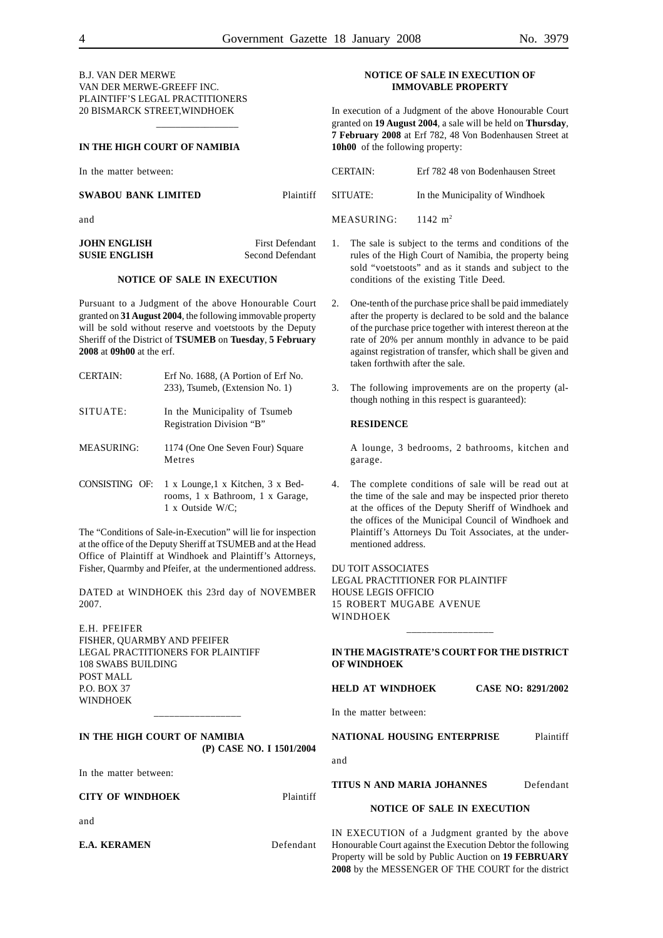## B.J. VAN DER MERWE VAN DER MERWE-GREEFF INC. PLAINTIFF'S LEGAL PRACTITIONERS 20 BISMARCK STREET,WINDHOEK

#### **IN THE HIGH COURT OF NAMIBIA**

In the matter between:

## **SWABOU BANK LIMITED** Plaintiff

and

**JOHN ENGLISH** First Defendant **SUSIE ENGLISH** Second Defendant

\_\_\_\_\_\_\_\_\_\_\_\_\_\_\_\_\_

## **NOTICE OF SALE IN EXECUTION**

Pursuant to a Judgment of the above Honourable Court granted on **31 August 2004**, the following immovable property will be sold without reserve and voetstoots by the Deputy Sheriff of the District of **TSUMEB** on **Tuesday**, **5 February 2008** at **09h00** at the erf.

| <b>CERTAIN:</b>   | Erf No. 1688, (A Portion of Erf No.<br>233), Tsumeb, (Extension No. 1)                    |
|-------------------|-------------------------------------------------------------------------------------------|
| SITUATE:          | In the Municipality of Tsumeb<br>Registration Division "B"                                |
| <b>MEASURING:</b> | 1174 (One One Seven Four) Square<br>Metres                                                |
| CONSISTING OF:    | 1 x Lounge, 1 x Kitchen, 3 x Bed-<br>rooms, 1 x Bathroom, 1 x Garage,<br>1 x Outside W/C: |

The "Conditions of Sale-in-Execution" will lie for inspection at the office of the Deputy Sheriff at TSUMEB and at the Head Office of Plaintiff at Windhoek and Plaintiff's Attorneys, Fisher, Quarmby and Pfeifer, at the undermentioned address.

DATED at WINDHOEK this 23rd day of NOVEMBER 2007.

E.H. PFEIFER FISHER, QUARMBY AND PFEIFER LEGAL PRACTITIONERS FOR PLAINTIFF 108 SWABS BUILDING POST MALL P.O. BOX 37 WINDHOEK

## **IN THE HIGH COURT OF NAMIBIA (P) CASE NO. I 1501/2004**

\_\_\_\_\_\_\_\_\_\_\_\_\_\_\_\_\_

In the matter between:

**CITY OF WINDHOEK** Plaintiff

and

**E.A. KERAMEN** Defendant

#### **NOTICE OF SALE IN EXECUTION OF IMMOVABLE PROPERTY**

In execution of a Judgment of the above Honourable Court granted on **19 August 2004**, a sale will be held on **Thursday**, **7 February 2008** at Erf 782, 48 Von Bodenhausen Street at **10h00** of the following property:

CERTAIN: Erf 782 48 von Bodenhausen Street SITUATE: In the Municipality of Windhoek MEASURING: 1142 m<sup>2</sup>

- 1. The sale is subject to the terms and conditions of the rules of the High Court of Namibia, the property being sold "voetstoots" and as it stands and subject to the conditions of the existing Title Deed.
- 2. One-tenth of the purchase price shall be paid immediately after the property is declared to be sold and the balance of the purchase price together with interest thereon at the rate of 20% per annum monthly in advance to be paid against registration of transfer, which shall be given and taken forthwith after the sale.
- 3. The following improvements are on the property (although nothing in this respect is guaranteed):

#### **RESIDENCE**

A lounge, 3 bedrooms, 2 bathrooms, kitchen and garage.

4. The complete conditions of sale will be read out at the time of the sale and may be inspected prior thereto at the offices of the Deputy Sheriff of Windhoek and the offices of the Municipal Council of Windhoek and Plaintiff's Attorneys Du Toit Associates, at the undermentioned address.

DU TOIT ASSOCIATES LEGAL PRACTITIONER FOR PLAINTIFF HOUSE LEGIS OFFICIO 15 ROBERT MUGABE AVENUE WINDHOEK \_\_\_\_\_\_\_\_\_\_\_\_\_\_\_\_\_

## **IN THE MAGISTRATE'S COURT FOR THE DISTRICT OF WINDHOEK**

## **HELD AT WINDHOEK CASE NO: 8291/2002**

In the matter between:

**NATIONAL HOUSING ENTERPRISE** Plaintiff

and

#### **TITUS N AND MARIA JOHANNES** Defendant

**NOTICE OF SALE IN EXECUTION**

IN EXECUTION of a Judgment granted by the above Honourable Court against the Execution Debtor the following Property will be sold by Public Auction on **19 FEBRUARY 2008** by the MESSENGER OF THE COURT for the district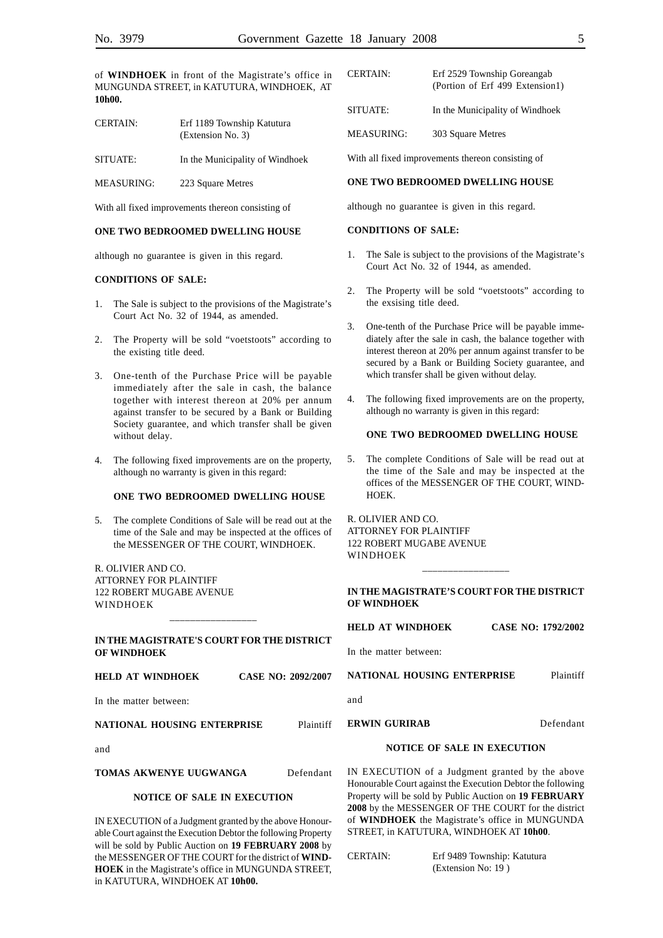of **WINDHOEK** in front of the Magistrate's office in MUNGUNDA STREET, in KATUTURA, WINDHOEK, AT **10h00.**

| <b>CERTAIN:</b>   | Erf 1189 Township Katutura<br>(Extension No. 3) |
|-------------------|-------------------------------------------------|
| SITUATE:          | In the Municipality of Windhoek                 |
| <b>MEASURING:</b> | 223 Square Metres                               |

With all fixed improvements thereon consisting of

#### **ONE TWO BEDROOMED DWELLING HOUSE**

although no guarantee is given in this regard.

#### **CONDITIONS OF SALE:**

- 1. The Sale is subject to the provisions of the Magistrate's Court Act No. 32 of 1944, as amended.
- 2. The Property will be sold "voetstoots" according to the existing title deed.
- 3. One-tenth of the Purchase Price will be payable immediately after the sale in cash, the balance together with interest thereon at 20% per annum against transfer to be secured by a Bank or Building Society guarantee, and which transfer shall be given without delay.
- 4. The following fixed improvements are on the property, although no warranty is given in this regard:

#### **ONE TWO BEDROOMED DWELLING HOUSE**

5. The complete Conditions of Sale will be read out at the time of the Sale and may be inspected at the offices of the MESSENGER OF THE COURT, WINDHOEK.

R. OLIVIER AND CO. ATTORNEY FOR PLAINTIFF 122 ROBERT MUGABE AVENUE WINDHOEK

#### **IN THE MAGISTRATE'S COURT FOR THE DISTRICT OF WINDHOEK**

\_\_\_\_\_\_\_\_\_\_\_\_\_\_\_\_\_

#### **HELD AT WINDHOEK CASE NO: 2092/2007**

In the matter between:

#### **NATIONAL HOUSING ENTERPRISE** Plaintiff

and

#### **TOMAS AKWENYE UUGWANGA** Defendant

#### **NOTICE OF SALE IN EXECUTION**

IN EXECUTION of a Judgment granted by the above Honourable Court against the Execution Debtor the following Property will be sold by Public Auction on **19 FEBRUARY 2008** by the MESSENGER OF THE COURT for the district of **WIND-HOEK** in the Magistrate's office in MUNGUNDA STREET, in KATUTURA, WINDHOEK AT **10h00.**

| <b>CERTAIN:</b> | Erf 2529 Township Goreangab<br>(Portion of Erf 499 Extension1) |
|-----------------|----------------------------------------------------------------|
| SITUATE:        | In the Municipality of Windhoek                                |
| MEASURING:      | 303 Square Metres                                              |

With all fixed improvements thereon consisting of

#### **ONE TWO BEDROOMED DWELLING HOUSE**

although no guarantee is given in this regard.

#### **CONDITIONS OF SALE:**

- 1. The Sale is subject to the provisions of the Magistrate's Court Act No. 32 of 1944, as amended.
- 2. The Property will be sold "voetstoots" according to the exsising title deed.
- 3. One-tenth of the Purchase Price will be payable immediately after the sale in cash, the balance together with interest thereon at 20% per annum against transfer to be secured by a Bank or Building Society guarantee, and which transfer shall be given without delay.
- 4. The following fixed improvements are on the property, although no warranty is given in this regard:

## **ONE TWO BEDROOMED DWELLING HOUSE**

5. The complete Conditions of Sale will be read out at the time of the Sale and may be inspected at the offices of the MESSENGER OF THE COURT, WIND-HOEK.

R. OLIVIER AND CO. ATTORNEY FOR PLAINTIFF 122 ROBERT MUGABE AVENUE WINDHOEK

**IN THE MAGISTRATE'S COURT FOR THE DISTRICT OF WINDHOEK**

\_\_\_\_\_\_\_\_\_\_\_\_\_\_\_\_\_

| <b>CASE NO: 1792/2002</b><br>HELD AT WINDHOEK |
|-----------------------------------------------|
|-----------------------------------------------|

In the matter between:

**NATIONAL HOUSING ENTERPRISE** Plaintiff

and

#### **ERWIN GURIRAB** Defendant

## **NOTICE OF SALE IN EXECUTION**

IN EXECUTION of a Judgment granted by the above Honourable Court against the Execution Debtor the following Property will be sold by Public Auction on **19 FEBRUARY 2008** by the MESSENGER OF THE COURT for the district of **WINDHOEK** the Magistrate's office in MUNGUNDA STREET, in KATUTURA, WINDHOEK AT **10h00**.

| CERTAIN: | Erf 9489 Township: Katutura |
|----------|-----------------------------|
|          | (Extension No: 19)          |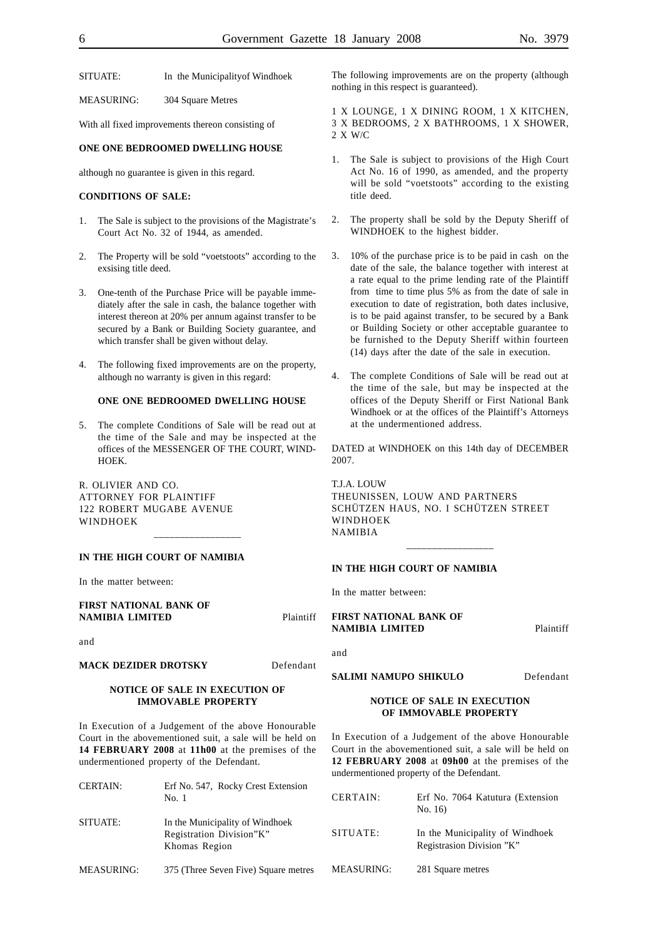SITUATE: In the Municipality of Windhoek

MEASURING: 304 Square Metres

With all fixed improvements thereon consisting of

#### **ONE ONE BEDROOMED DWELLING HOUSE**

although no guarantee is given in this regard.

#### **CONDITIONS OF SALE:**

- 1. The Sale is subject to the provisions of the Magistrate's Court Act No. 32 of 1944, as amended.
- 2. The Property will be sold "voetstoots" according to the exsising title deed.
- 3. One-tenth of the Purchase Price will be payable immediately after the sale in cash, the balance together with interest thereon at 20% per annum against transfer to be secured by a Bank or Building Society guarantee, and which transfer shall be given without delay.
- 4. The following fixed improvements are on the property, although no warranty is given in this regard:

#### **ONE ONE BEDROOMED DWELLING HOUSE**

5. The complete Conditions of Sale will be read out at the time of the Sale and may be inspected at the offices of the MESSENGER OF THE COURT, WIND-HOEK.

\_\_\_\_\_\_\_\_\_\_\_\_\_\_\_\_\_

R. OLIVIER AND CO. ATTORNEY FOR PLAINTIFF 122 ROBERT MUGABE AVENUE WINDHOEK

## **IN THE HIGH COURT OF NAMIBIA**

In the matter between:

## **FIRST NATIONAL BANK OF NAMIBIA LIMITED** Plaintiff

and

#### **MACK DEZIDER DROTSKY** Defendant

### **NOTICE OF SALE IN EXECUTION OF IMMOVABLE PROPERTY**

In Execution of a Judgement of the above Honourable Court in the abovementioned suit, a sale will be held on **14 FEBRUARY 2008** at **11h00** at the premises of the undermentioned property of the Defendant.

| <b>CERTAIN:</b>   | Erf No. 547, Rocky Crest Extension<br>No. 1                                  |
|-------------------|------------------------------------------------------------------------------|
| SITUATE:          | In the Municipality of Windhoek<br>Registration Division"K"<br>Khomas Region |
| <b>MEASURING:</b> | 375 (Three Seven Five) Square metres                                         |

The following improvements are on the property (although nothing in this respect is guaranteed).

1 X LOUNGE, 1 X DINING ROOM, 1 X KITCHEN, 3 X BEDROOMS, 2 X BATHROOMS, 1 X SHOWER, 2 X W/C

- 1. The Sale is subject to provisions of the High Court Act No. 16 of 1990, as amended, and the property will be sold "voetstoots" according to the existing title deed.
- 2. The property shall be sold by the Deputy Sheriff of WINDHOEK to the highest bidder.
- 3. 10% of the purchase price is to be paid in cash on the date of the sale, the balance together with interest at a rate equal to the prime lending rate of the Plaintiff from time to time plus 5% as from the date of sale in execution to date of registration, both dates inclusive, is to be paid against transfer, to be secured by a Bank or Building Society or other acceptable guarantee to be furnished to the Deputy Sheriff within fourteen (14) days after the date of the sale in execution.
- 4. The complete Conditions of Sale will be read out at the time of the sale, but may be inspected at the offices of the Deputy Sheriff or First National Bank Windhoek or at the offices of the Plaintiff's Attorneys at the undermentioned address.

DATED at WINDHOEK on this 14th day of DECEMBER 2007.

T.J.A. LOUW THEUNISSEN, LOUW AND PARTNERS SCHÜTZEN HAUS, NO. I SCHÜTZEN STREET WINDHOEK NAMIBIA

\_\_\_\_\_\_\_\_\_\_\_\_\_\_\_\_\_

## **IN THE HIGH COURT OF NAMIBIA**

In the matter between:

**FIRST NATIONAL BANK OF NAMIBIA LIMITED** Plaintiff

and

## **SALIMI NAMUPO SHIKULO** Defendant

#### **NOTICE OF SALE IN EXECUTION OF IMMOVABLE PROPERTY**

In Execution of a Judgement of the above Honourable Court in the abovementioned suit, a sale will be held on **12 FEBRUARY 2008** at **09h00** at the premises of the undermentioned property of the Defendant.

| CERTAIN:          | Erf No. 7064 Katutura (Extension<br>No. 16                   |
|-------------------|--------------------------------------------------------------|
| SITUATE:          | In the Municipality of Windhoek<br>Registrasion Division "K" |
| <b>MEASURING:</b> | 281 Square metres                                            |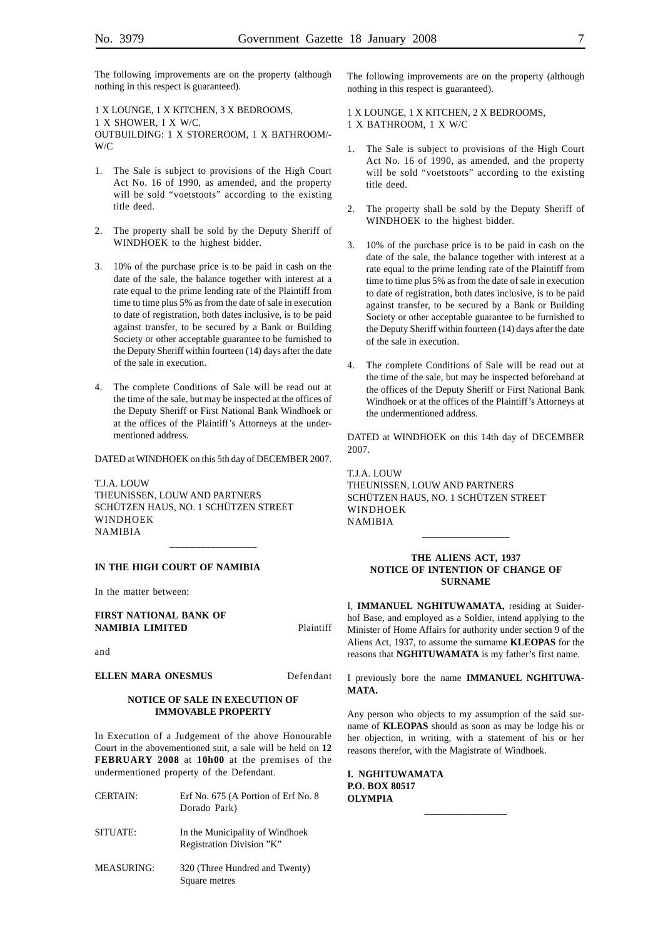The following improvements are on the property (although nothing in this respect is guaranteed).

1 X LOUNGE, 1 X KITCHEN, 3 X BEDROOMS, 1 X SHOWER, I X W/C. OUTBUILDING: 1 X STOREROOM, 1 X BATHROOM/- W/C

- 1. The Sale is subject to provisions of the High Court Act No. 16 of 1990, as amended, and the property will be sold "voetstoots" according to the existing title deed.
- 2. The property shall be sold by the Deputy Sheriff of WINDHOEK to the highest bidder.
- 3. 10% of the purchase price is to be paid in cash on the date of the sale, the balance together with interest at a rate equal to the prime lending rate of the Plaintiff from time to time plus 5% as from the date of sale in execution to date of registration, both dates inclusive, is to be paid against transfer, to be secured by a Bank or Building Society or other acceptable guarantee to be furnished to the Deputy Sheriff within fourteen (14) days after the date of the sale in execution.
- 4. The complete Conditions of Sale will be read out at the time of the sale, but may be inspected at the offices of the Deputy Sheriff or First National Bank Windhoek or at the offices of the Plaintiff's Attorneys at the undermentioned address.

DATED at WINDHOEK on this 5th day of DECEMBER 2007.

\_\_\_\_\_\_\_\_\_\_\_\_\_\_\_\_\_

T.J.A. LOUW THEUNISSEN, LOUW AND PARTNERS SCHÜTZEN HAUS, NO. 1 SCHÜTZEN STREET WINDHOEK NAMIBIA

**IN THE HIGH COURT OF NAMIBIA**

In the matter between:

**FIRST NATIONAL BANK OF NAMIBIA LIMITED** Plaintiff

and

**ELLEN MARA ONESMUS** Defendant

#### **NOTICE OF SALE IN EXECUTION OF IMMOVABLE PROPERTY**

In Execution of a Judgement of the above Honourable Court in the abovementioned suit, a sale will be held on **12 FEBRUARY 2008** at **10h00** at the premises of the undermentioned property of the Defendant.

- CERTAIN: Erf No. 675 (A Portion of Erf No. 8 Dorado Park)
- SITUATE: In the Municipality of Windhoek Registration Division "K"
- MEASURING: 320 (Three Hundred and Twenty) Square metres

The following improvements are on the property (although nothing in this respect is guaranteed).

1 X LOUNGE, 1 X KITCHEN, 2 X BEDROOMS, 1 X BATHROOM, 1 X W/C

- The Sale is subject to provisions of the High Court Act No. 16 of 1990, as amended, and the property will be sold "voetstoots" according to the existing title deed.
- 2. The property shall be sold by the Deputy Sheriff of WINDHOEK to the highest bidder.
- 3. 10% of the purchase price is to be paid in cash on the date of the sale, the balance together with interest at a rate equal to the prime lending rate of the Plaintiff from time to time plus 5% as from the date of sale in execution to date of registration, both dates inclusive, is to be paid against transfer, to be secured by a Bank or Building Society or other acceptable guarantee to be furnished to the Deputy Sheriff within fourteen (14) days after the date of the sale in execution.
- 4. The complete Conditions of Sale will be read out at the time of the sale, but may be inspected beforehand at the offices of the Deputy Sheriff or First National Bank Windhoek or at the offices of the Plaintiff's Attorneys at the undermentioned address.

DATED at WINDHOEK on this 14th day of DECEMBER 2007.

T.J.A. LOUW THEUNISSEN, LOUW AND PARTNERS SCHÜTZEN HAUS, NO. 1 SCHÜTZEN STREET WINDHOEK NAMIBIA

#### **THE ALIENS ACT, 1937 NOTICE OF INTENTION OF CHANGE OF SURNAME**

\_\_\_\_\_\_\_\_\_\_\_\_\_\_\_\_\_

I, **IMMANUEL NGHITUWAMATA,** residing at Suiderhof Base, and employed as a Soldier, intend applying to the Minister of Home Affairs for authority under section 9 of the Aliens Act, 1937, to assume the surname **KLEOPAS** for the reasons that **NGHITUWAMATA** is my father's first name.

I previously bore the name **IMMANUEL NGHITUWA-MATA.**

Any person who objects to my assumption of the said surname of **KLEOPAS** should as soon as may be lodge his or her objection, in writing, with a statement of his or her reasons therefor, with the Magistrate of Windhoek.

**I. NGHITUWAMATA P.O. BOX 80517 OLYMPIA** \_\_\_\_\_\_\_\_\_\_\_\_\_\_\_\_\_